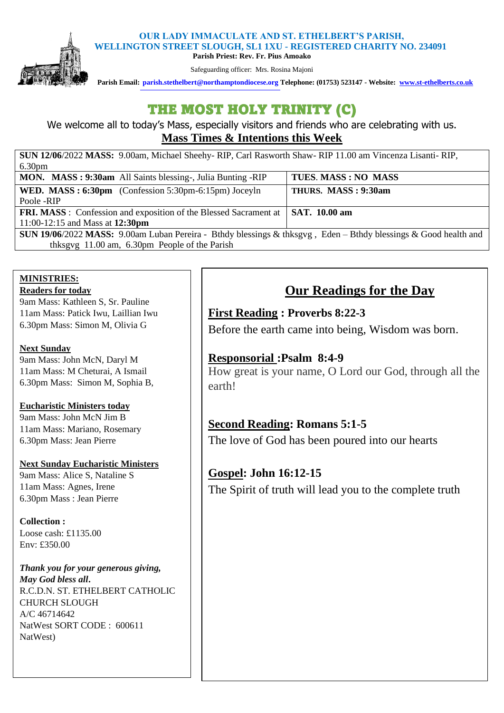#### **OUR LADY IMMACULATE AND ST. ETHELBERT'S PARISH, WELLINGTON STREET SLOUGH, SL1 1XU - REGISTERED CHARITY NO. 234091**



**Parish Priest: Rev. Fr. Pius Amoako**  Safeguarding officer: Mrs. Rosina Majoni

 **Parish Email: [parish.stethelbert@northamptondiocese.org](mailto:parish.stethelbert@northamptondiocese.org) Telephone: (01753) 523147 - Website: [www.st-ethelberts.co.uk](about:blank)**

# THE MOST HOLY TRINITY (C)

We welcome all to today's Mass, especially visitors and friends who are celebrating with us. **Mass Times & Intentions this Week** 

| SUN 12/06/2022 MASS: 9.00am, Michael Sheehy-RIP, Carl Rasworth Shaw-RIP 11.00 am Vincenza Lisanti-RIP,                 |                     |
|------------------------------------------------------------------------------------------------------------------------|---------------------|
| 6.30 <sub>pm</sub>                                                                                                     |                     |
| MON. MASS: 9:30am All Saints blessing-, Julia Bunting -RIP                                                             | TUES. MASS: NO MASS |
| <b>WED.</b> MASS: $6:30 \text{pm}$ (Confession 5:30pm-6:15pm) Joceyln                                                  | THURS. MASS: 9:30am |
| Poole -RIP                                                                                                             |                     |
| <b>FRI. MASS</b> : Confession and exposition of the Blessed Sacrament at                                               | SAT. 10.00 am       |
| 11:00-12:15 and Mass at 12:30pm                                                                                        |                     |
| <b>SUN 19/06/2022 MASS:</b> 9.00am Luban Pereira - Bthdy blessings & thksgyg, Eden - Bthdy blessings & Good health and |                     |
| thksgvg 11.00 am, 6.30pm People of the Parish                                                                          |                     |

### **MINISTRIES: Readers for today**

9am Mass: Kathleen S, Sr. Pauline 11am Mass: Patick Iwu, Laillian Iwu 6.30pm Mass: Simon M, Olivia G

### **Next Sunday**

9am Mass: John McN, Daryl M 11am Mass: M Cheturai, A Ismail 6.30pm Mass: Simon M, Sophia B,

### **Eucharistic Ministers today**

9am Mass: John McN Jim B 11am Mass: Mariano, Rosemary 6.30pm Mass: Jean Pierre

### **Next Sunday Eucharistic Ministers**

9am Mass: Alice S, Nataline S 11am Mass: Agnes, Irene 6.30pm Mass : Jean Pierre

**Collection :**  Loose cash: £1135.00 Env: £350.00

*Thank you for your generous giving, May God bless all***.**  R.C.D.N. ST. ETHELBERT CATHOLIC CHURCH SLOUGH A/C 46714642 NatWest SORT CODE : 600611 NatWest)

# **Our Readings for the Day**

## **First Reading : Proverbs 8:22-3**

Before the earth came into being, Wisdom was born.

## **Responsorial :Psalm 8:4-9**

How great is your name, O Lord our God, through all the earth!

## **Second Reading: Romans 5:1-5**

The love of God has been poured into our hearts

# **Gospel: John 16:12-15** The Spirit of truth will lead you to the complete truth